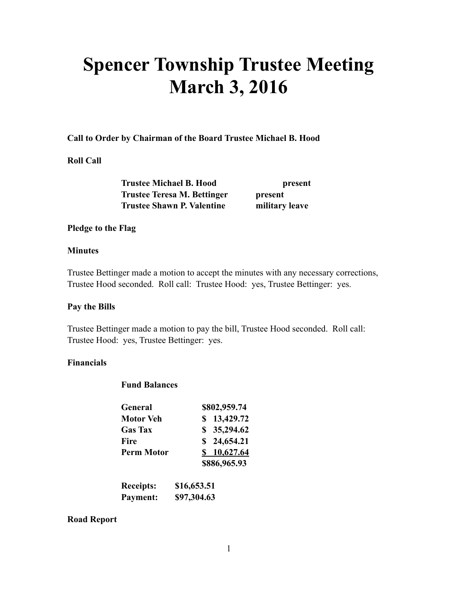# **Spencer Township Trustee Meeting March 3, 2016**

#### **Call to Order by Chairman of the Board Trustee Michael B. Hood**

# **Roll Call**

 **Trustee Michael B. Hood present Trustee Teresa M. Bettinger by present Trustee Shawn P. Valentine military leave** 

#### **Pledge to the Flag**

#### **Minutes**

Trustee Bettinger made a motion to accept the minutes with any necessary corrections, Trustee Hood seconded. Roll call: Trustee Hood: yes, Trustee Bettinger: yes.

#### **Pay the Bills**

Trustee Bettinger made a motion to pay the bill, Trustee Hood seconded. Roll call: Trustee Hood: yes, Trustee Bettinger: yes.

#### **Financials**

#### **Fund Balances**

| General           | \$802,959.74 |
|-------------------|--------------|
| <b>Motor Veh</b>  | \$13,429.72  |
| <b>Gas Tax</b>    | \$35,294.62  |
| Fire              | \$24,654.21  |
| <b>Perm Motor</b> | \$10,627.64  |
|                   | \$886,965.93 |
|                   |              |

| <b>Receipts:</b> | \$16,653.51 |
|------------------|-------------|
| Payment:         | \$97,304.63 |

#### **Road Report**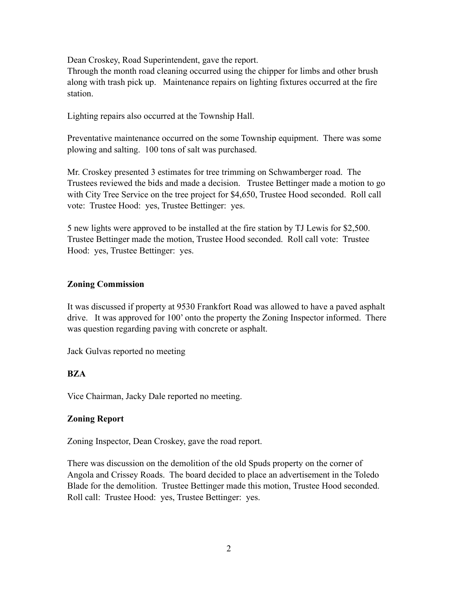Dean Croskey, Road Superintendent, gave the report.

Through the month road cleaning occurred using the chipper for limbs and other brush along with trash pick up. Maintenance repairs on lighting fixtures occurred at the fire station.

Lighting repairs also occurred at the Township Hall.

Preventative maintenance occurred on the some Township equipment. There was some plowing and salting. 100 tons of salt was purchased.

Mr. Croskey presented 3 estimates for tree trimming on Schwamberger road. The Trustees reviewed the bids and made a decision. Trustee Bettinger made a motion to go with City Tree Service on the tree project for \$4,650, Trustee Hood seconded. Roll call vote: Trustee Hood: yes, Trustee Bettinger: yes.

5 new lights were approved to be installed at the fire station by TJ Lewis for \$2,500. Trustee Bettinger made the motion, Trustee Hood seconded. Roll call vote: Trustee Hood: yes, Trustee Bettinger: yes.

#### **Zoning Commission**

It was discussed if property at 9530 Frankfort Road was allowed to have a paved asphalt drive. It was approved for 100' onto the property the Zoning Inspector informed. There was question regarding paving with concrete or asphalt.

Jack Gulvas reported no meeting

# **BZA**

Vice Chairman, Jacky Dale reported no meeting.

# **Zoning Report**

Zoning Inspector, Dean Croskey, gave the road report.

There was discussion on the demolition of the old Spuds property on the corner of Angola and Crissey Roads. The board decided to place an advertisement in the Toledo Blade for the demolition. Trustee Bettinger made this motion, Trustee Hood seconded. Roll call: Trustee Hood: yes, Trustee Bettinger: yes.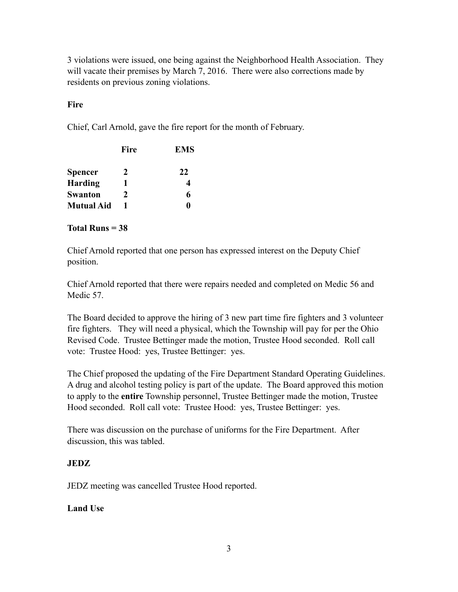3 violations were issued, one being against the Neighborhood Health Association. They will vacate their premises by March 7, 2016. There were also corrections made by residents on previous zoning violations.

# **Fire**

Chief, Carl Arnold, gave the fire report for the month of February.

| Fire | <b>EMS</b> |
|------|------------|
| 2    | 22         |
| 1    | 4          |
| 2    | 6          |
| 1    | 0          |
|      |            |

# **Total Runs = 38**

Chief Arnold reported that one person has expressed interest on the Deputy Chief position.

Chief Arnold reported that there were repairs needed and completed on Medic 56 and Medic 57.

The Board decided to approve the hiring of 3 new part time fire fighters and 3 volunteer fire fighters. They will need a physical, which the Township will pay for per the Ohio Revised Code. Trustee Bettinger made the motion, Trustee Hood seconded. Roll call vote: Trustee Hood: yes, Trustee Bettinger: yes.

The Chief proposed the updating of the Fire Department Standard Operating Guidelines. A drug and alcohol testing policy is part of the update. The Board approved this motion to apply to the **entire** Township personnel, Trustee Bettinger made the motion, Trustee Hood seconded. Roll call vote: Trustee Hood: yes, Trustee Bettinger: yes.

There was discussion on the purchase of uniforms for the Fire Department. After discussion, this was tabled.

# **JEDZ**

JEDZ meeting was cancelled Trustee Hood reported.

# **Land Use**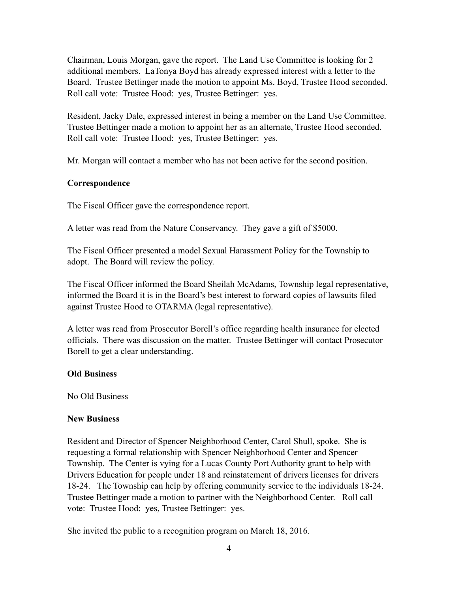Chairman, Louis Morgan, gave the report. The Land Use Committee is looking for 2 additional members. LaTonya Boyd has already expressed interest with a letter to the Board. Trustee Bettinger made the motion to appoint Ms. Boyd, Trustee Hood seconded. Roll call vote: Trustee Hood: yes, Trustee Bettinger: yes.

Resident, Jacky Dale, expressed interest in being a member on the Land Use Committee. Trustee Bettinger made a motion to appoint her as an alternate, Trustee Hood seconded. Roll call vote: Trustee Hood: yes, Trustee Bettinger: yes.

Mr. Morgan will contact a member who has not been active for the second position.

# **Correspondence**

The Fiscal Officer gave the correspondence report.

A letter was read from the Nature Conservancy. They gave a gift of \$5000.

The Fiscal Officer presented a model Sexual Harassment Policy for the Township to adopt. The Board will review the policy.

The Fiscal Officer informed the Board Sheilah McAdams, Township legal representative, informed the Board it is in the Board's best interest to forward copies of lawsuits filed against Trustee Hood to OTARMA (legal representative).

A letter was read from Prosecutor Borell's office regarding health insurance for elected officials. There was discussion on the matter. Trustee Bettinger will contact Prosecutor Borell to get a clear understanding.

#### **Old Business**

No Old Business

#### **New Business**

Resident and Director of Spencer Neighborhood Center, Carol Shull, spoke. She is requesting a formal relationship with Spencer Neighborhood Center and Spencer Township. The Center is vying for a Lucas County Port Authority grant to help with Drivers Education for people under 18 and reinstatement of drivers licenses for drivers 18-24. The Township can help by offering community service to the individuals 18-24. Trustee Bettinger made a motion to partner with the Neighborhood Center. Roll call vote: Trustee Hood: yes, Trustee Bettinger: yes.

She invited the public to a recognition program on March 18, 2016.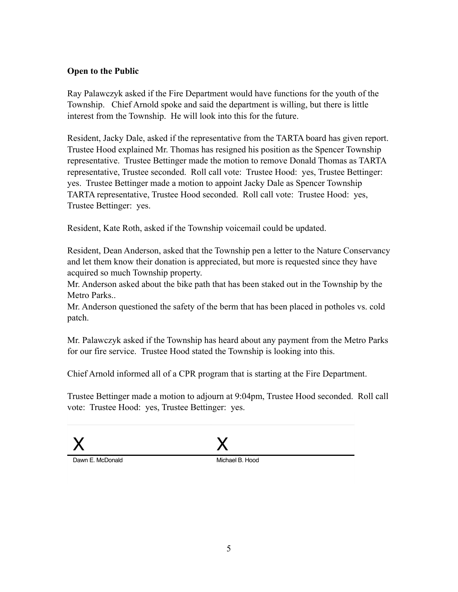# **Open to the Public**

Ray Palawczyk asked if the Fire Department would have functions for the youth of the Township. Chief Arnold spoke and said the department is willing, but there is little interest from the Township. He will look into this for the future.

Resident, Jacky Dale, asked if the representative from the TARTA board has given report. Trustee Hood explained Mr. Thomas has resigned his position as the Spencer Township representative. Trustee Bettinger made the motion to remove Donald Thomas as TARTA representative, Trustee seconded. Roll call vote: Trustee Hood: yes, Trustee Bettinger: yes. Trustee Bettinger made a motion to appoint Jacky Dale as Spencer Township TARTA representative, Trustee Hood seconded. Roll call vote: Trustee Hood: yes, Trustee Bettinger: yes.

Resident, Kate Roth, asked if the Township voicemail could be updated.

Resident, Dean Anderson, asked that the Township pen a letter to the Nature Conservancy and let them know their donation is appreciated, but more is requested since they have acquired so much Township property.

Mr. Anderson asked about the bike path that has been staked out in the Township by the Metro Parks..

Mr. Anderson questioned the safety of the berm that has been placed in potholes vs. cold patch.

Mr. Palawczyk asked if the Township has heard about any payment from the Metro Parks for our fire service. Trustee Hood stated the Township is looking into this.

Chief Arnold informed all of a CPR program that is starting at the Fire Department.

Trustee Bettinger made a motion to adjourn at 9:04pm, Trustee Hood seconded. Roll call vote: Trustee Hood: yes, Trustee Bettinger: yes.



Fiscal Officer

Chairman of the Board of Trustees